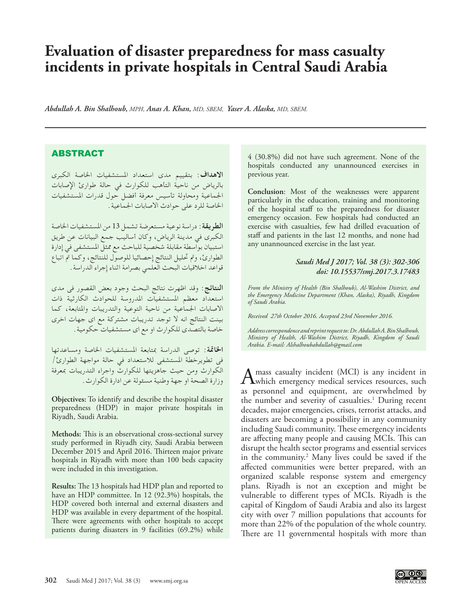## **Evaluation of disaster preparedness for mass casualty incidents in private hospitals in Central Saudi Arabia**

*Abdullah A. Bin Shalhoub, MPH, Anas A. Khan, MD, SBEM, Yaser A. Alaska, MD, SBEM.* 

## ABSTRACT

**االهداف**: بتقييم مدى استعداد املستشفيات اخلاصة الكبرى بالرياض من ناحية التأهب للكوارث في حالة طوارئ اإلصابات اجلماعية ومحاولة تأسيس معرفة أفضل حول قدرات املستشفيات اخلاصة للرد على حوادث االصابات اجلماعية.

**الطريقة**: دراسة نوعية مستعرضة تشمل 13 من املستشفيات اخلاصة الكبرى في مدينة الرياض، وكان أساليب جمع البيانات عن طريق استبيان بواسطة مقابلة شخصية للباحث مع ممثل املستشفى في إدارة الطوارئ، ومت حتليل النتائج إحصائيا للوصول للنتائج، وكما مت اتباع قواعد اخالقيات البحث العلمي بصرامة اثناء إجراء الدراسة.

**النتائج**: وقد اظهرت نتائج البحث وجود بعض القصور فى مدى استعداد معظم املستشفيات املدروسة للحوادث الكارثية ذات االصابات اجلماعية من ناحية التوعية والتدريبات واملتابعة، كما بينت النتائج انه ال توجد تدريبات مشتركة مع اى جهات اخرى خاصة بالتصدى للكوارث او مع اى مستشفيات حكومية.

**اخلامتة**: توصى الدراسة مبتابعة املستشفيات اخلاصة ومساعدتها فى تطويرخطة املستشفى لالستعداد في حالة مواجهة الطوارئ/ الكوارث ومن حيث جاهزيتها للكوارث واجراء التدريبات مبعرفة وزارة الصحة او جهة وطنية مسئولة عن ادارة الكوارث.

**Objectives:** To identify and describe the hospital disaster preparedness (HDP) in major private hospitals in Riyadh, Saudi Arabia.

**Methods:** This is an observational cross-sectional survey study performed in Riyadh city, Saudi Arabia between December 2015 and April 2016. Thirteen major private hospitals in Riyadh with more than 100 beds capacity were included in this investigation.

**Results:** The 13 hospitals had HDP plan and reported to have an HDP committee. In 12 (92.3%) hospitals, the HDP covered both internal and external disasters and HDP was available in every department of the hospital. There were agreements with other hospitals to accept patients during disasters in 9 facilities (69.2%) while

4 (30.8%) did not have such agreement. None of the hospitals conducted any unannounced exercises in previous year.

**Conclusion**: Most of the weaknesses were apparent particularly in the education, training and monitoring of the hospital staff to the preparedness for disaster emergency occasion. Few hospitals had conducted an exercise with casualties, few had drilled evacuation of staff and patients in the last 12 months, and none had any unannounced exercise in the last year.

## *Saudi Med J 2017; Vol. 38 (3): 302-306 doi: 10.15537/smj.2017.3.17483*

*From the Ministry of Health (Bin Shalhoub), Al-Washim District, and the Emergency Medicine Department (Khan, Alaska), Riyadh, Kingdom of Saudi Arabia.* 

*Received 27th October 2016. Accepted 23rd November 2016.*

*Address correspondence and reprint request to: Dr. Abdullah A. Bin Shalhoub, Ministry of Health, Al-Washim District, Riyadh, Kingdom of Saudi Arabia. E-mail: Alshalhoubabdullah@gmail.com*

A mass casualty incident (MCI) is any incident in which emergency medical services resources, such a services resources, such a services of the services of the services of the services of the services of the services of th as personnel and equipment, are overwhelmed by the number and severity of casualties.<sup>1</sup> During recent decades, major emergencies, crises, terrorist attacks, and disasters are becoming a possibility in any community including Saudi community. These emergency incidents are affecting many people and causing MCIs. This can disrupt the health sector programs and essential services in the community.2 Many lives could be saved if the affected communities were better prepared, with an organized scalable response system and emergency plans. Riyadh is not an exception and might be vulnerable to different types of MCIs. Riyadh is the capital of Kingdom of Saudi Arabia and also its largest city with over 7 million populations that accounts for more than 22% of the population of the whole country. There are 11 governmental hospitals with more than

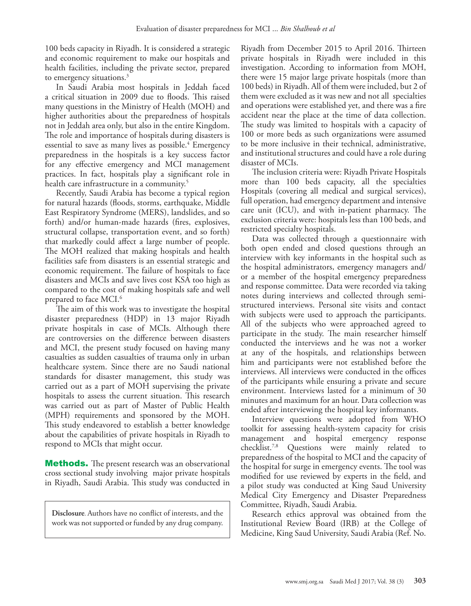100 beds capacity in Riyadh. It is considered a strategic and economic requirement to make our hospitals and health facilities, including the private sector, prepared to emergency situations.<sup>3</sup>

In Saudi Arabia most hospitals in Jeddah faced a critical situation in 2009 due to floods. This raised many questions in the Ministry of Health (MOH) and higher authorities about the preparedness of hospitals not in Jeddah area only, but also in the entire Kingdom. The role and importance of hospitals during disasters is essential to save as many lives as possible.<sup>4</sup> Emergency preparedness in the hospitals is a key success factor for any effective emergency and MCI management practices. In fact, hospitals play a significant role in health care infrastructure in a community.<sup>5</sup>

Recently, Saudi Arabia has become a typical region for natural hazards (floods, storms, earthquake, Middle East Respiratory Syndrome (MERS), landslides, and so forth) and/or human-made hazards (fires, explosives, structural collapse, transportation event, and so forth) that markedly could affect a large number of people. The MOH realized that making hospitals and health facilities safe from disasters is an essential strategic and economic requirement. The failure of hospitals to face disasters and MCIs and save lives cost KSA too high as compared to the cost of making hospitals safe and well prepared to face MCI.6

The aim of this work was to investigate the hospital disaster preparedness (HDP) in 13 major Riyadh private hospitals in case of MCIs. Although there are controversies on the difference between disasters and MCI, the present study focused on having many casualties as sudden casualties of trauma only in urban healthcare system. Since there are no Saudi national standards for disaster management, this study was carried out as a part of MOH supervising the private hospitals to assess the current situation. This research was carried out as part of Master of Public Health (MPH) requirements and sponsored by the MOH. This study endeavored to establish a better knowledge about the capabilities of private hospitals in Riyadh to respond to MCIs that might occur.

**Methods.** The present research was an observational cross sectional study involving major private hospitals in Riyadh, Saudi Arabia. This study was conducted in

**Disclosure**. Authors have no conflict of interests, and the work was not supported or funded by any drug company.

Riyadh from December 2015 to April 2016. Thirteen private hospitals in Riyadh were included in this investigation. According to information from MOH, there were 15 major large private hospitals (more than 100 beds) in Riyadh. All of them were included, but 2 of them were excluded as it was new and not all specialties and operations were established yet, and there was a fire accident near the place at the time of data collection. The study was limited to hospitals with a capacity of 100 or more beds as such organizations were assumed to be more inclusive in their technical, administrative, and institutional structures and could have a role during disaster of MCIs.

The inclusion criteria were: Riyadh Private Hospitals more than 100 beds capacity, all the specialties Hospitals (covering all medical and surgical services), full operation, had emergency department and intensive care unit (ICU), and with in-patient pharmacy. The exclusion criteria were: hospitals less than 100 beds, and restricted specialty hospitals.

Data was collected through a questionnaire with both open ended and closed questions through an interview with key informants in the hospital such as the hospital administrators, emergency managers and/ or a member of the hospital emergency preparedness and response committee. Data were recorded via taking notes during interviews and collected through semistructured interviews. Personal site visits and contact with subjects were used to approach the participants. All of the subjects who were approached agreed to participate in the study. The main researcher himself conducted the interviews and he was not a worker at any of the hospitals, and relationships between him and participants were not established before the interviews. All interviews were conducted in the offices of the participants while ensuring a private and secure environment. Interviews lasted for a minimum of 30 minutes and maximum for an hour. Data collection was ended after interviewing the hospital key informants.

Interview questions were adopted from WHO toolkit for assessing health-system capacity for crisis management and hospital emergency response checklist.7,8 Questions were mainly related to preparedness of the hospital to MCI and the capacity of the hospital for surge in emergency events. The tool was modified for use reviewed by experts in the field, and a pilot study was conducted at King Saud University Medical City Emergency and Disaster Preparedness Committee, Riyadh, Saudi Arabia.

Research ethics approval was obtained from the Institutional Review Board (IRB) at the College of Medicine, King Saud University, Saudi Arabia (Ref. No.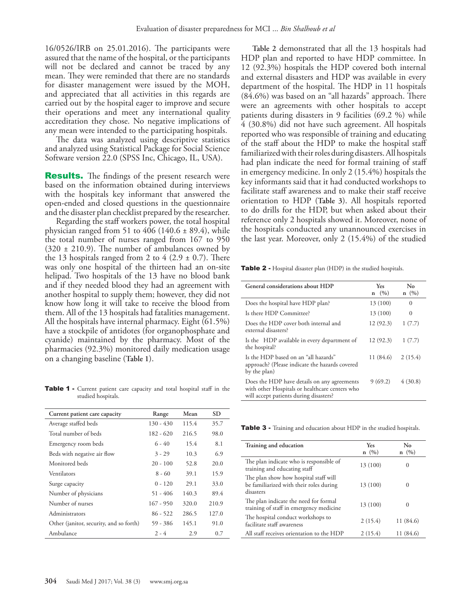16/0526/IRB on 25.01.2016). The participants were assured that the name of the hospital, or the participants will not be declared and cannot be traced by any mean. They were reminded that there are no standards for disaster management were issued by the MOH, and appreciated that all activities in this regards are carried out by the hospital eager to improve and secure their operations and meet any international quality accreditation they chose. No negative implications of any mean were intended to the participating hospitals.

The data was analyzed using descriptive statistics and analyzed using Statistical Package for Social Science Software version 22.0 (SPSS Inc, Chicago, IL, USA).

**Results.** The findings of the present research were based on the information obtained during interviews with the hospitals key informant that answered the open-ended and closed questions in the questionnaire and the disaster plan checklist prepared by the researcher.

Regarding the staff workers power, the total hospital physician ranged from 51 to 406 (140.6  $\pm$  89.4), while the total number of nurses ranged from 167 to 950  $(320 \pm 210.9)$ . The number of ambulances owned by the 13 hospitals ranged from 2 to 4  $(2.9 \pm 0.7)$ . There was only one hospital of the thirteen had an on-site helipad. Two hospitals of the 13 have no blood bank and if they needed blood they had an agreement with another hospital to supply them; however, they did not know how long it will take to receive the blood from them. All of the 13 hospitals had fatalities management. All the hospitals have internal pharmacy. Eight (61.5%) have a stockpile of antidotes (for organophosphate and cyanide) maintained by the pharmacy. Most of the pharmacies (92.3%) monitored daily medication usage on a changing baseline (**Table 1**).

Table 1 - Current patient care capacity and total hospital staff in the studied hospitals.

| Current patient care capacity           | Range       | Mean  | <b>SD</b> |
|-----------------------------------------|-------------|-------|-----------|
| Average staffed beds                    | $130 - 430$ | 115.4 | 35.7      |
| Total number of beds                    | $182 - 620$ | 216.5 | 98.0      |
| Emergency room beds                     | $6 - 40$    | 15.4  | 8.1       |
| Beds with negative air flow             | $3 - 29$    | 10.3  | 6.9       |
| Monitored beds                          | $20 - 100$  | 52.8  | 20.0      |
| Ventilators                             | $8 - 60$    | 39.1  | 15.9      |
| Surge capacity                          | $0 - 120$   | 29.1  | 33.0      |
| Number of physicians                    | $51 - 406$  | 140.3 | 89.4      |
| Number of nurses                        | $167 - 950$ | 320.0 | 210.9     |
| Administrators                          | $86 - 522$  | 286.5 | 127.0     |
| Other (janitor, security, and so forth) | 59 - 386    | 145.1 | 91.0      |
| Ambulance                               | $2 - 4$     | 2.9   | 0.7       |

**Table 2** demonstrated that all the 13 hospitals had HDP plan and reported to have HDP committee. In 12 (92.3%) hospitals the HDP covered both internal and external disasters and HDP was available in every department of the hospital. The HDP in 11 hospitals (84.6%) was based on an "all hazards" approach. There were an agreements with other hospitals to accept patients during disasters in 9 facilities (69.2 %) while 4 (30.8%) did not have such agreement. All hospitals reported who was responsible of training and educating of the staff about the HDP to make the hospital staff familiarized with their roles during disasters. All hospitals had plan indicate the need for formal training of staff in emergency medicine. In only 2 (15.4%) hospitals the key informants said that it had conducted workshops to facilitate staff awareness and to make their staff receive orientation to HDP (**Table 3**). All hospitals reported to do drills for the HDP, but when asked about their reference only 2 hospitals showed it. Moreover, none of the hospitals conducted any unannounced exercises in the last year. Moreover, only 2 (15.4%) of the studied

Table 2 - Hospital disaster plan (HDP) in the studied hospitals.

| General considerations about HDP                                                                                                        | <b>Yes</b><br>$n \quad (\%)$ | No<br>$n \ (\%)$ |
|-----------------------------------------------------------------------------------------------------------------------------------------|------------------------------|------------------|
| Does the hospital have HDP plan?                                                                                                        | 13 (100)                     | $\Omega$         |
| Is there HDP Committee?                                                                                                                 | 13 (100)                     | $\Omega$         |
| Does the HDP cover both internal and<br>external disasters?                                                                             | 12(92.3)                     | 1(7.7)           |
| Is the HDP available in every department of<br>the hospital?                                                                            | 12(92.3)                     | 1(7.7)           |
| Is the HDP based on an "all hazards"<br>approach? (Please indicate the hazards covered<br>by the plan)                                  | 11 (84.6)                    | 2(15.4)          |
| Does the HDP have details on any agreements<br>with other Hospitals or healthcare centers who<br>will accept patients during disasters? | 9(69.2)                      | 4(30.8)          |

Table 3 - Training and education about HDP in the studied hospitals.

| Training and education                                                                        | Yes<br>$n \ (\%)$ | No<br>$n \ (%)$ |
|-----------------------------------------------------------------------------------------------|-------------------|-----------------|
| The plan indicate who is responsible of<br>training and educating staff                       | 13 (100)          | $\Omega$        |
| The plan show how hospital staff will<br>be familiarized with their roles during<br>disasters | 13 (100)          |                 |
| The plan indicate the need for formal<br>training of staff in emergency medicine              | 13 (100)          |                 |
| The hospital conduct workshops to<br>facilitate staff awareness                               | 2(15.4)           | 11 (84.6)       |
| All staff receives orientation to the HDP                                                     | 2(15.4)           | 11 (84.6)       |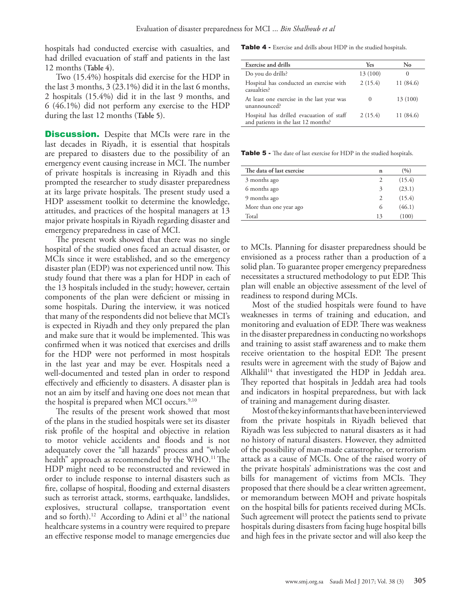hospitals had conducted exercise with casualties, and had drilled evacuation of staff and patients in the last 12 months (**Table 4**).

Two (15.4%) hospitals did exercise for the HDP in the last 3 months, 3 (23.1%) did it in the last 6 months, 2 hospitals (15.4%) did it in the last 9 months, and 6 (46.1%) did not perform any exercise to the HDP during the last 12 months (**Table 5**).

**Discussion.** Despite that MCIs were rare in the last decades in Riyadh, it is essential that hospitals are prepared to disasters due to the possibility of an emergency event causing increase in MCI. The number of private hospitals is increasing in Riyadh and this prompted the researcher to study disaster preparedness at its large private hospitals. The present study used a HDP assessment toolkit to determine the knowledge, attitudes, and practices of the hospital managers at 13 major private hospitals in Riyadh regarding disaster and emergency preparedness in case of MCI.

The present work showed that there was no single hospital of the studied ones faced an actual disaster, or MCIs since it were established, and so the emergency disaster plan (EDP) was not experienced until now. This study found that there was a plan for HDP in each of the 13 hospitals included in the study; however, certain components of the plan were deficient or missing in some hospitals. During the interview, it was noticed that many of the respondents did not believe that MCI's is expected in Riyadh and they only prepared the plan and make sure that it would be implemented. This was confirmed when it was noticed that exercises and drills for the HDP were not performed in most hospitals in the last year and may be ever. Hospitals need a well-documented and tested plan in order to respond effectively and efficiently to disasters. A disaster plan is not an aim by itself and having one does not mean that the hospital is prepared when MCI occurs. $9,10$ 

The results of the present work showed that most of the plans in the studied hospitals were set its disaster risk profile of the hospital and objective in relation to motor vehicle accidents and floods and is not adequately cover the "all hazards" process and "whole health" approach as recommended by the WHO.<sup>11</sup> The HDP might need to be reconstructed and reviewed in order to include response to internal disasters such as fire, collapse of hospital, flooding and external disasters such as terrorist attack, storms, earthquake, landslides, explosives, structural collapse, transportation event and so forth).<sup>12</sup> According to Adini et al<sup>13</sup> the national healthcare systems in a country were required to prepare an effective response model to manage emergencies due

Table 4 - Exercise and drills about HDP in the studied hospitals.

| Exercise and drills                                                             | Yes      | No        |
|---------------------------------------------------------------------------------|----------|-----------|
| Do you do drills?                                                               | 13 (100) | $\Omega$  |
| Hospital has conducted an exercise with<br>casualties?                          | 2(15.4)  | 11 (84.6) |
| At least one exercise in the last year was<br>unannounced?                      | $\theta$ | 13 (100)  |
| Hospital has drilled evacuation of staff<br>and patients in the last 12 months? | 2(15.4)  | 11 (84.6) |

Table 5 - The date of last exercise for HDP in the studied hospitals.

| The data of last exercise | n  | (%)    |
|---------------------------|----|--------|
| 3 months ago              | 2  | (15.4) |
| 6 months ago              | 3  | (23.1) |
| 9 months ago              | 2  | (15.4) |
| More than one year ago    | 6  | (46.1) |
| Total                     | 13 | (100)  |

to MCIs. Planning for disaster preparedness should be envisioned as a process rather than a production of a solid plan. To guarantee proper emergency preparedness necessitates a structured methodology to put EDP. This plan will enable an objective assessment of the level of readiness to respond during MCIs.

Most of the studied hospitals were found to have weaknesses in terms of training and education, and monitoring and evaluation of EDP. There was weakness in the disaster preparedness in conducting no workshops and training to assist staff awareness and to make them receive orientation to the hospital EDP. The present results were in agreement with the study of Bajow and Alkhalil<sup>14</sup> that investigated the HDP in Jeddah area. They reported that hospitals in Jeddah area had tools and indicators in hospital preparedness, but with lack of training and management during disaster.

Most of the key informants that have been interviewed from the private hospitals in Riyadh believed that Riyadh was less subjected to natural disasters as it had no history of natural disasters. However, they admitted of the possibility of man-made catastrophe, or terrorism attack as a cause of MCIs. One of the raised worry of the private hospitals' administrations was the cost and bills for management of victims from MCIs. They proposed that there should be a clear written agreement, or memorandum between MOH and private hospitals on the hospital bills for patients received during MCIs. Such agreement will protect the patients send to private hospitals during disasters from facing huge hospital bills and high fees in the private sector and will also keep the